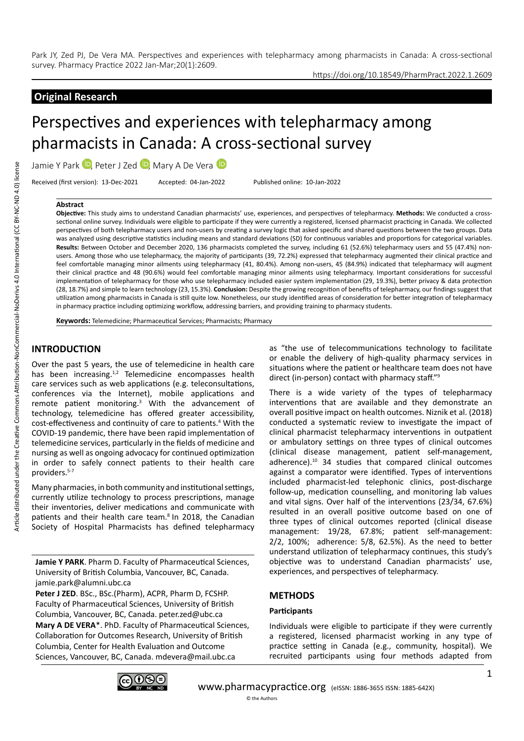## https://doi.org/10.18549/PharmPract.2022.1.2609

# **Original Research**

# Perspectives and experiences with telepharmacy among pharmacists in Canada: A cross-sectional survey

Jamie Y Park D, Peter J Zed D, Mary A De Vera D

Received (first version): 13-Dec-2021 Accepted: 04-Jan-2022 Published online: 10-Jan-2022

#### **Abstract**

**Objective:** This study aims to understand Canadian pharmacists' use, experiences, and perspectives of telepharmacy. **Methods:** We conducted a crosssectional online survey. Individuals were eligible to participate if they were currently a registered, licensed pharmacist practicing in Canada. We collected perspectives of both telepharmacy users and non-users by creating a survey logic that asked specific and shared questions between the two groups. Data was analyzed using descriptive statistics including means and standard deviations (SD) for continuous variables and proportions for categorical variables. **Results:** Between October and December 2020, 136 pharmacists completed the survey, including 61 (52.6%) telepharmacy users and 55 (47.4%) nonusers. Among those who use telepharmacy, the majority of participants (39, 72.2%) expressed that telepharmacy augmented their clinical practice and feel comfortable managing minor ailments using telepharmacy (41, 80.4%). Among non-users, 45 (84.9%) indicated that telepharmacy will augment their clinical practice and 48 (90.6%) would feel comfortable managing minor ailments using telepharmacy. Important considerations for successful implementation of telepharmacy for those who use telepharmacy included easier system implementation (29, 19.3%), better privacy & data protection (28, 18.7%) and simple to learn technology (23, 15.3%). **Conclusion:** Despite the growing recognition of benefits of telepharmacy, our findings suggest that utilization among pharmacists in Canada is still quite low. Nonetheless, our study identified areas of consideration for better integration of telepharmacy in pharmacy practice including optimizing workflow, addressing barriers, and providing training to pharmacy students.

**Keywords:** Telemedicine; Pharmaceutical Services; Pharmacists; Pharmacy

## **INTRODUCTION**

Over the past 5 years, the use of telemedicine in health care has been increasing.<sup>1,2</sup> Telemedicine encompasses health care services such as web applications (e.g. teleconsultations, conferences via the Internet), mobile applications and remote patient monitoring.<sup>3</sup> With the advancement of technology, telemedicine has offered greater accessibility, cost-effectiveness and continuity of care to patients.<sup>4</sup> With the COVID-19 pandemic, there have been rapid implementation of telemedicine services, particularly in the fields of medicine and nursing as well as ongoing advocacy for continued optimization in order to safely connect patients to their health care providers.<sup>5-7</sup>

Many pharmacies, in both community and institutional settings, currently utilize technology to process prescriptions, manage their inventories, deliver medications and communicate with patients and their health care team.<sup>8</sup> In 2018, the Canadian Society of Hospital Pharmacists has defined telepharmacy

**Jamie Y PARK**. Pharm D. Faculty of Pharmaceutical Sciences, University of British Columbia, Vancouver, BC, Canada. jamie.park@alumni.ubc.ca

Peter J ZED. BSc., BSc.(Pharm), ACPR, Pharm D, FCSHP. Faculty of Pharmaceutical Sciences, University of British Columbia, Vancouver, BC, Canada. peter.zed@ubc.ca **Mary A DE VERA**\*. PhD. Faculty of Pharmaceutical Sciences, Collaboration for Outcomes Research, University of British Columbia, Center for Health Evaluation and Outcome Sciences, Vancouver, BC, Canada. mdevera@mail.ubc.ca



There is a wide variety of the types of telepharmacy interventions that are available and they demonstrate an overall positive impact on health outcomes. Niznik et al. (2018) conducted a systematic review to investigate the impact of clinical pharmacist telepharmacy interventions in outpatient or ambulatory settings on three types of clinical outcomes (clinical disease management, patient self-management, adherence).10 34 studies that compared clinical outcomes against a comparator were identified. Types of interventions included pharmacist-led telephonic clinics, post-discharge follow-up, medication counselling, and monitoring lab values and vital signs. Over half of the interventions (23/34, 67.6%) resulted in an overall positive outcome based on one of three types of clinical outcomes reported (clinical disease management: 19/28, 67.8%; patient self-management: 2/2, 100%; adherence: 5/8, 62.5%). As the need to better understand utilization of telepharmacy continues, this study's objective was to understand Canadian pharmacists' use, experiences, and perspectives of telepharmacy.

## **METHODS**

#### **Participants**

Individuals were eligible to participate if they were currently a registered, licensed pharmacist working in any type of practice setting in Canada (e.g., community, hospital). We recruited participants using four methods adapted from



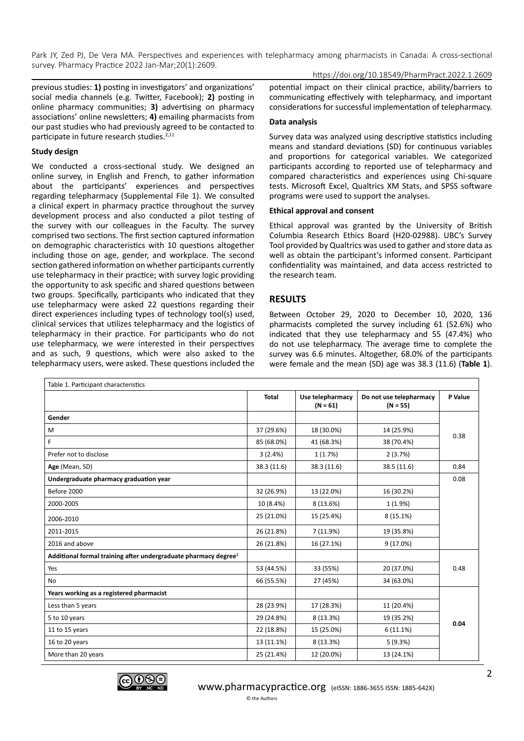## https://doi.org/10.18549/PharmPract.2022.1.2609

previous studies: **1)** posting in investigators' and organizations' social media channels (e.g. Twitter, Facebook); **2)** posting in online pharmacy communities; **3)** advertising on pharmacy associations' online newsletters; **4)** emailing pharmacists from our past studies who had previously agreed to be contacted to participate in future research studies.<sup>2,11</sup>

#### **Study design**

We conducted a cross-sectional study. We designed an online survey, in English and French, to gather information about the participants' experiences and perspectives regarding telepharmacy (Supplemental File 1). We consulted a clinical expert in pharmacy practice throughout the survey development process and also conducted a pilot testing of the survey with our colleagues in the Faculty. The survey comprised two sections. The first section captured information on demographic characteristics with 10 questions altogether including those on age, gender, and workplace. The second section gathered information on whether participants currently use telepharmacy in their practice; with survey logic providing the opportunity to ask specific and shared questions between two groups. Specifically, participants who indicated that they use telepharmacy were asked 22 questions regarding their direct experiences including types of technology tool(s) used, clinical services that utilizes telepharmacy and the logistics of telepharmacy in their practice. For participants who do not use telepharmacy, we were interested in their perspectives and as such, 9 questions, which were also asked to the telepharmacy users, were asked. These questions included the

potential impact on their clinical practice, ability/barriers to communicating effectively with telepharmacy, and important considerations for successful implementation of telepharmacy.

#### **Data analysis**

Survey data was analyzed using descriptive statistics including means and standard deviations (SD) for continuous variables and proportions for categorical variables. We categorized participants according to reported use of telepharmacy and compared characteristics and experiences using Chi-square tests. Microsoft Excel, Qualtrics XM Stats, and SPSS software programs were used to support the analyses.

#### **Ethical approval and consent**

Ethical approval was granted by the University of British Columbia Research Ethics Board (H20-02988). UBC's Survey Tool provided by Qualtrics was used to gather and store data as well as obtain the participant's informed consent. Participant confidentiality was maintained, and data access restricted to the research team.

#### **RESULTS**

Between October 29, 2020 to December 10, 2020, 136 pharmacists completed the survey including 61 (52.6%) who indicated that they use telepharmacy and 55 (47.4%) who do not use telepharmacy. The average time to complete the survey was 6.6 minutes. Altogether, 68.0% of the participants were female and the mean (SD) age was 38.3 (11.6) (**Table 1**).

| Table 1. Participant characteristics                                        |              |                                |                                       |         |  |  |
|-----------------------------------------------------------------------------|--------------|--------------------------------|---------------------------------------|---------|--|--|
|                                                                             | <b>Total</b> | Use telepharmacy<br>$(N = 61)$ | Do not use telepharmacy<br>$(N = 55)$ | P Value |  |  |
| Gender                                                                      |              |                                |                                       |         |  |  |
| M                                                                           | 37 (29.6%)   | 18 (30.0%)                     | 14 (25.9%)                            | 0.38    |  |  |
| F                                                                           | 85 (68.0%)   | 41 (68.3%)                     | 38 (70.4%)                            |         |  |  |
| Prefer not to disclose                                                      | 3(2.4%)      | 1(1.7%)                        | 2(3.7%)                               |         |  |  |
| Age (Mean, SD)                                                              | 38.3 (11.6)  | 38.3 (11.6)                    | 38.5 (11.6)                           | 0.84    |  |  |
| Undergraduate pharmacy graduation year                                      |              |                                |                                       | 0.08    |  |  |
| Before 2000                                                                 | 32 (26.9%)   | 13 (22.0%)                     | 16 (30.2%)                            |         |  |  |
| 2000-2005                                                                   | 10 (8.4%)    | 8 (13.6%)                      | 1 (1.9%)                              |         |  |  |
| 2006-2010                                                                   | 25 (21.0%)   | 15 (25.4%)                     | 8 (15.1%)                             |         |  |  |
| 2011-2015                                                                   | 26 (21.8%)   | 7(11.9%)                       | 19 (35.8%)                            |         |  |  |
| 2016 and above                                                              | 26 (21.8%)   | 16 (27.1%)                     | 9(17.0%)                              |         |  |  |
| Additional formal training after undergraduate pharmacy degree <sup>1</sup> |              |                                |                                       |         |  |  |
| Yes                                                                         | 53 (44.5%)   | 33 (55%)                       | 20 (37.0%)                            | 0.48    |  |  |
| No                                                                          | 66 (55.5%)   | 27 (45%)                       | 34 (63.0%)                            |         |  |  |
| Years working as a registered pharmacist                                    |              |                                |                                       |         |  |  |
| Less than 5 years                                                           | 28 (23.9%)   | 17 (28.3%)                     | 11 (20.4%)                            | 0.04    |  |  |
| 5 to 10 years                                                               | 29 (24.8%)   | 8 (13.3%)                      | 19 (35.2%)                            |         |  |  |
| 11 to 15 years                                                              | 22 (18.8%)   | 15 (25.0%)                     | 6(11.1%)                              |         |  |  |
| 16 to 20 years                                                              | 13 (11.1%)   | 8 (13.3%)                      | 5(9.3%)                               |         |  |  |
| More than 20 years                                                          | 25 (21.4%)   | 12 (20.0%)                     | 13 (24.1%)                            |         |  |  |

© the Authors

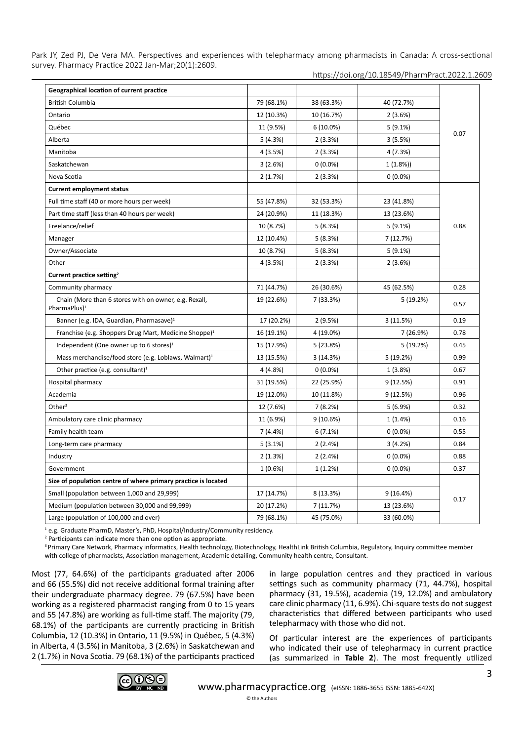https://doi.org/10.18549/PharmPract.2022.1.2609

| Geographical location of current practice                                         |            |             |            |      |
|-----------------------------------------------------------------------------------|------------|-------------|------------|------|
| British Columbia                                                                  | 79 (68.1%) | 38 (63.3%)  | 40 (72.7%) | 0.07 |
| Ontario                                                                           | 12 (10.3%) | 10 (16.7%)  | 2(3.6%)    |      |
| Québec                                                                            | 11 (9.5%)  | $6(10.0\%)$ | $5(9.1\%)$ |      |
| Alberta                                                                           | 5(4.3%)    | 2(3.3%)     | 3(5.5%)    |      |
| Manitoba                                                                          | 4 (3.5%)   | 2(3.3%)     | 4 (7.3%)   |      |
| Saskatchewan                                                                      | 3(2.6%)    | $0(0.0\%)$  | 1(1.8%)    |      |
| Nova Scotia                                                                       | 2(1.7%)    | 2(3.3%)     | $0(0.0\%)$ |      |
| <b>Current employment status</b>                                                  |            |             |            |      |
| Full time staff (40 or more hours per week)                                       | 55 (47.8%) | 32 (53.3%)  | 23 (41.8%) | 0.88 |
| Part time staff (less than 40 hours per week)                                     | 24 (20.9%) | 11 (18.3%)  | 13 (23.6%) |      |
| Freelance/relief                                                                  | 10 (8.7%)  | 5(8.3%)     | $5(9.1\%)$ |      |
| Manager                                                                           | 12 (10.4%) | 5(8.3%)     | 7 (12.7%)  |      |
| Owner/Associate                                                                   | 10 (8.7%)  | 5(8.3%)     | 5(9.1%)    |      |
| Other                                                                             | 4 (3.5%)   | 2(3.3%)     | 2(3.6%)    |      |
| Current practice setting <sup>2</sup>                                             |            |             |            |      |
| Community pharmacy                                                                | 71 (44.7%) | 26 (30.6%)  | 45 (62.5%) | 0.28 |
| Chain (More than 6 stores with on owner, e.g. Rexall,<br>PharmaPlus) <sup>1</sup> | 19 (22.6%) | 7 (33.3%)   | 5(19.2%)   | 0.57 |
| Banner (e.g. IDA, Guardian, Pharmasave) <sup>1</sup>                              | 17 (20.2%) | 2(9.5%)     | 3(11.5%)   | 0.19 |
| Franchise (e.g. Shoppers Drug Mart, Medicine Shoppe) <sup>1</sup>                 | 16 (19.1%) | 4 (19.0%)   | 7 (26.9%)  | 0.78 |
| Independent (One owner up to 6 stores) $1$                                        | 15 (17.9%) | 5(23.8%)    | 5(19.2%)   | 0.45 |
| Mass merchandise/food store (e.g. Loblaws, Walmart) <sup>1</sup>                  | 13 (15.5%) | 3(14.3%)    | 5(19.2%)   | 0.99 |
| Other practice (e.g. consultant) $1$                                              | 4 (4.8%)   | $0(0.0\%)$  | 1(3.8%)    | 0.67 |
| Hospital pharmacy                                                                 | 31 (19.5%) | 22 (25.9%)  | 9(12.5%)   | 0.91 |
| Academia                                                                          | 19 (12.0%) | 10 (11.8%)  | 9(12.5%)   | 0.96 |
| Other <sup>3</sup>                                                                | 12 (7.6%)  | 7(8.2%)     | 5(6.9%)    | 0.32 |
| Ambulatory care clinic pharmacy                                                   | 11 (6.9%)  | 9(10.6%)    | 1(1.4%)    | 0.16 |
| Family health team                                                                | 7(4.4%)    | 6(7.1%)     | $0(0.0\%)$ | 0.55 |
| Long-term care pharmacy                                                           | 5(3.1%)    | 2(2.4%)     | 3(4.2%)    | 0.84 |
| Industry                                                                          | 2(1.3%)    | 2(2.4%)     | $0(0.0\%)$ | 0.88 |
| Government                                                                        | 1(0.6%)    | 1(1.2%)     | $0(0.0\%)$ | 0.37 |
| Size of population centre of where primary practice is located                    |            |             |            |      |
| Small (population between 1,000 and 29,999)                                       | 17 (14.7%) | 8 (13.3%)   | 9(16.4%)   | 0.17 |
| Medium (population between 30,000 and 99,999)                                     | 20 (17.2%) | 7 (11.7%)   | 13 (23.6%) |      |
| Large (population of 100,000 and over)                                            | 79 (68.1%) | 45 (75.0%)  | 33 (60.0%) |      |

<sup>1</sup> e.g. Graduate PharmD, Master's, PhD, Hospital/Industry/Community residency.

2 Participants can indicate more than one option as appropriate.

<sup>3</sup> Primary Care Network, Pharmacy informatics, Health technology, Biotechnology, HealthLink British Columbia, Regulatory, Inquiry committee member with college of pharmacists, Association management, Academic detailing, Community health centre, Consultant.

Most (77, 64.6%) of the participants graduated after 2006 and 66 (55.5%) did not receive additional formal training after their undergraduate pharmacy degree. 79 (67.5%) have been working as a registered pharmacist ranging from 0 to 15 years and 55 (47.8%) are working as full-time staff. The majority (79, 68.1%) of the participants are currently practicing in British Columbia, 12 (10.3%) in Ontario, 11 (9.5%) in Québec, 5 (4.3%) in Alberta, 4 (3.5%) in Manitoba, 3 (2.6%) in Saskatchewan and 2 (1.7%) in Nova Scotia. 79 (68.1%) of the participants practiced in large population centres and they practiced in various settings such as community pharmacy (71, 44.7%), hospital pharmacy (31, 19.5%), academia (19, 12.0%) and ambulatory care clinic pharmacy (11, 6.9%). Chi-square tests do not suggest characteristics that differed between participants who used telepharmacy with those who did not.

Of particular interest are the experiences of participants who indicated their use of telepharmacy in current practice (as summarized in **Table 2**). The most frequently utilized

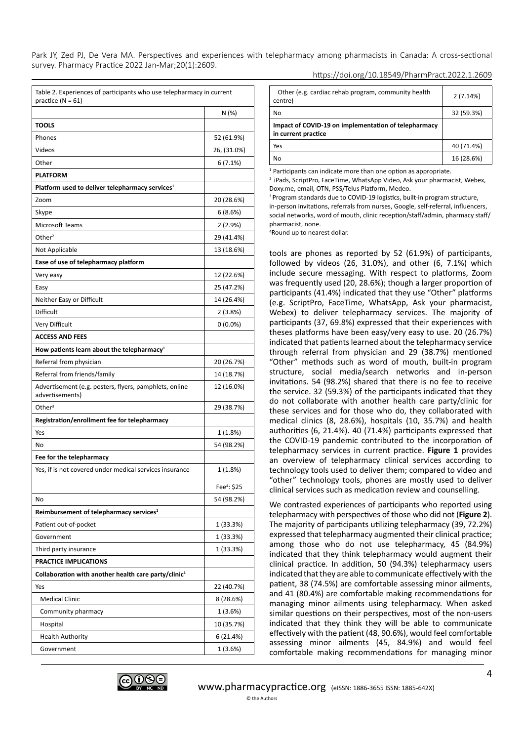| https://doi.org/10.18549/PharmPract.2022.1.2609 |
|-------------------------------------------------|
|-------------------------------------------------|

|                                                                           | N (%)                   |
|---------------------------------------------------------------------------|-------------------------|
| <b>TOOLS</b>                                                              |                         |
| Phones                                                                    | 52 (61.9%)              |
| Videos                                                                    | 26, (31.0%)             |
| Other                                                                     | 6(7.1%)                 |
| <b>PLATFORM</b>                                                           |                         |
| Platform used to deliver telepharmacy services <sup>1</sup>               |                         |
| Zoom                                                                      | 20 (28.6%)              |
| Skype                                                                     | 6 (8.6%)                |
| Microsoft Teams                                                           | 2(2.9%)                 |
| Other $2$                                                                 | 29 (41.4%)              |
| Not Applicable                                                            | 13 (18.6%)              |
| Ease of use of telepharmacy platform                                      |                         |
| Very easy                                                                 | 12 (22.6%)              |
| Easy                                                                      | 25 (47.2%)              |
| Neither Easy or Difficult                                                 | 14 (26.4%)              |
| Difficult                                                                 | 2(3.8%)                 |
| Very Difficult                                                            | $0(0.0\%)$              |
| <b>ACCESS AND FEES</b>                                                    |                         |
| How patients learn about the telepharmacy <sup>1</sup>                    |                         |
| Referral from physician                                                   | 20 (26.7%)              |
| Referral from friends/family                                              | 14 (18.7%)              |
| Advertisement (e.g. posters, flyers, pamphlets, online<br>advertisements) | 12 (16.0%)              |
| Other $3$                                                                 | 29 (38.7%)              |
| Registration/enrollment fee for telepharmacy                              |                         |
| Yes                                                                       | 1 (1.8%)                |
| No                                                                        | 54 (98.2%)              |
| Fee for the telepharmacy                                                  |                         |
| Yes, if is not covered under medical services insurance                   | 1 (1.8%)                |
|                                                                           |                         |
|                                                                           | Fee <sup>4</sup> : \$25 |
| No                                                                        | 54 (98.2%)              |
| Reimbursement of telepharmacy services <sup>1</sup>                       |                         |
| Patient out-of-pocket                                                     | 1 (33.3%)               |
| Government                                                                | 1 (33.3%)               |
| Third party insurance                                                     | 1 (33.3%)               |
| <b>PRACTICE IMPLICATIONS</b>                                              |                         |
| Collaboration with another health care party/clinic <sup>1</sup>          |                         |
| Yes                                                                       | 22 (40.7%)              |
| <b>Medical Clinic</b>                                                     | 8 (28.6%)               |
| Community pharmacy                                                        | 1(3.6%)                 |
| Hospital                                                                  | 10 (35.7%)              |
| <b>Health Authority</b>                                                   | 6 (21.4%)               |
| Government                                                                | 1(3.6%)                 |

| Other (e.g. cardiac rehab program, community health<br>centre)              | 2(7.14%)   |
|-----------------------------------------------------------------------------|------------|
| No                                                                          | 32 (59.3%) |
| Impact of COVID-19 on implementation of telepharmacy<br>in current practice |            |
| Yes                                                                         | 40 (71.4%) |
| No                                                                          | 16 (28.6%) |

<sup>1</sup> Participants can indicate more than one option as appropriate.

<sup>2</sup> iPads, ScriptPro, FaceTime, WhatsApp Video, Ask your pharmacist, Webex, Doxy.me, email, OTN, PSS/Telus Platform, Medeo.

<sup>3</sup> Program standards due to COVID-19 logistics, built-in program structure, in-person invitations, referrals from nurses, Google, self-referral, influencers, social networks, word of mouth, clinic reception/staff/admin, pharmacy staff/ pharmacist, none.

4 Round up to nearest dollar.

tools are phones as reported by 52 (61.9%) of participants, followed by videos (26, 31.0%), and other (6, 7.1%) which include secure messaging. With respect to platforms, Zoom was frequently used (20, 28.6%); though a larger proportion of participants (41.4%) indicated that they use "Other" platforms (e.g. ScriptPro, FaceTime, WhatsApp, Ask your pharmacist, Webex) to deliver telepharmacy services. The majority of participants (37, 69.8%) expressed that their experiences with theses platforms have been easy/very easy to use. 20 (26.7%) indicated that patients learned about the telepharmacy service through referral from physician and 29 (38.7%) mentioned "Other" methods such as word of mouth, built-in program structure, social media/search networks and in-person invitations. 54 (98.2%) shared that there is no fee to receive the service. 32 (59.3%) of the participants indicated that they do not collaborate with another health care party/clinic for these services and for those who do, they collaborated with medical clinics (8, 28.6%), hospitals (10, 35.7%) and health authorities (6, 21.4%). 40 (71.4%) participants expressed that the COVID-19 pandemic contributed to the incorporation of telepharmacy services in current practice. **Figure 1** provides an overview of telepharmacy clinical services according to technology tools used to deliver them; compared to video and "other" technology tools, phones are mostly used to deliver clinical services such as medication review and counselling.

We contrasted experiences of participants who reported using telepharmacy with perspectives of those who did not (**Figure 2**). The majority of participants utilizing telepharmacy (39, 72.2%) expressed that telepharmacy augmented their clinical practice; among those who do not use telepharmacy, 45 (84.9%) indicated that they think telepharmacy would augment their clinical practice. In addition, 50 (94.3%) telepharmacy users indicated that they are able to communicate effectively with the patient, 38 (74.5%) are comfortable assessing minor ailments, and 41 (80.4%) are comfortable making recommendations for managing minor ailments using telepharmacy. When asked similar questions on their perspectives, most of the non-users indicated that they think they will be able to communicate effectively with the patient (48, 90.6%), would feel comfortable assessing minor ailments (45, 84.9%) and would feel comfortable making recommendations for managing minor

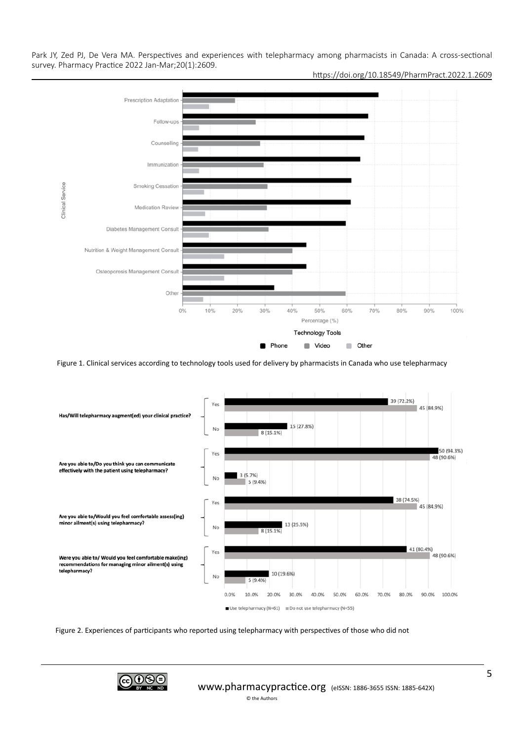

https://doi.org/10.18549/PharmPract.2022.1.2609

Figure 1. Clinical services according to technology tools used for delivery by pharmacists in Canada who use telepharmacy



Figure 2. Experiences of participants who reported using telepharmacy with perspectives of those who did not

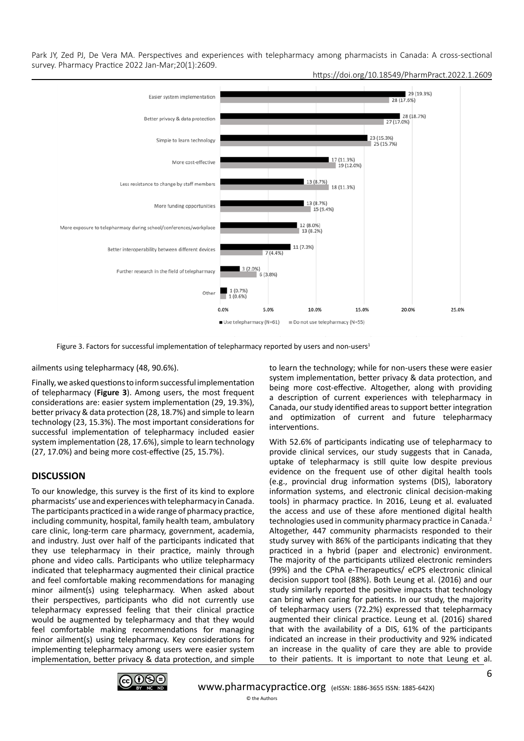Park JY, Zed PJ, De Vera MA. Perspectives and experiences with telepharmacy among pharmacists in Canada: A cross-sectional survey. Pharmacy Practice 2022 Jan-Mar;20(1):2609. https://doi.org/10.18549/PharmPract.2022.1.2609



Figure 3. Factors for successful implementation of telepharmacy reported by users and non-users<sup>1</sup>

ailments using telepharmacy (48, 90.6%).

Finally, we asked questions to inform successful implementation of telepharmacy (**Figure 3**). Among users, the most frequent considerations are: easier system implementation (29, 19.3%), better privacy & data protection (28, 18.7%) and simple to learn technology (23, 15.3%). The most important considerations for successful implementation of telepharmacy included easier system implementation (28, 17.6%), simple to learn technology (27, 17.0%) and being more cost-effective (25, 15.7%).

## **DISCUSSION**

To our knowledge, this survey is the first of its kind to explore pharmacists' use and experiences with telepharmacy in Canada. The participants practiced in a wide range of pharmacy practice, including community, hospital, family health team, ambulatory care clinic, long-term care pharmacy, government, academia, and industry. Just over half of the participants indicated that they use telepharmacy in their practice, mainly through phone and video calls. Participants who utilize telepharmacy indicated that telepharmacy augmented their clinical practice and feel comfortable making recommendations for managing minor ailment(s) using telepharmacy. When asked about their perspectives, participants who did not currently use telepharmacy expressed feeling that their clinical practice would be augmented by telepharmacy and that they would feel comfortable making recommendations for managing minor ailment(s) using telepharmacy. Key considerations for implementing telepharmacy among users were easier system implementation, better privacy & data protection, and simple

to learn the technology; while for non-users these were easier system implementation, better privacy & data protection, and being more cost-effective. Altogether, along with providing a description of current experiences with telepharmacy in Canada, our study identified areas to support better integration and optimization of current and future telepharmacy interventions.

With 52.6% of participants indicating use of telepharmacy to provide clinical services, our study suggests that in Canada, uptake of telepharmacy is still quite low despite previous evidence on the frequent use of other digital health tools (e.g., provincial drug information systems (DIS), laboratory information systems, and electronic clinical decision-making tools) in pharmacy practice. In 2016, Leung et al. evaluated the access and use of these afore mentioned digital health technologies used in community pharmacy practice in Canada.2 Altogether, 447 community pharmacists responded to their study survey with 86% of the participants indicating that they practiced in a hybrid (paper and electronic) environment. The majority of the participants utilized electronic reminders (99%) and the CPhA e-Therapeutics/ eCPS electronic clinical decision support tool (88%). Both Leung et al. (2016) and our study similarly reported the positive impacts that technology can bring when caring for patients. In our study, the majority of telepharmacy users (72.2%) expressed that telepharmacy augmented their clinical practice. Leung et al. (2016) shared that with the availability of a DIS, 61% of the participants indicated an increase in their productivity and 92% indicated an increase in the quality of care they are able to provide to their patients. It is important to note that Leung et al.

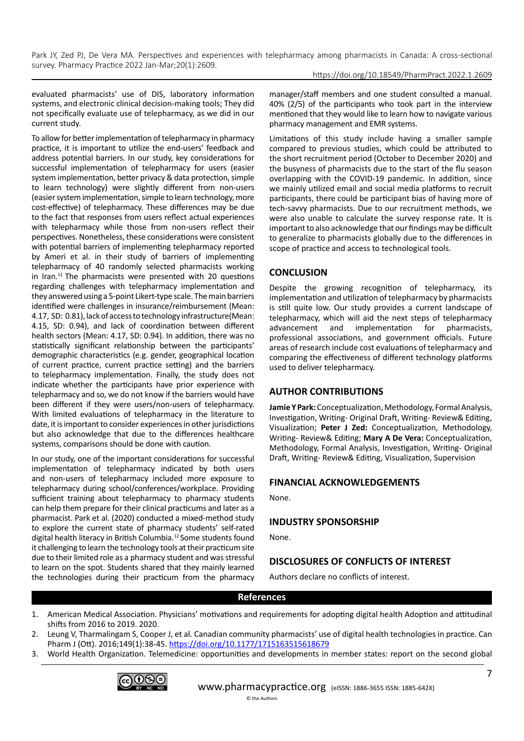https://doi.org/10.18549/PharmPract.2022.1.2609

evaluated pharmacists' use of DIS, laboratory information systems, and electronic clinical decision-making tools; They did not specifically evaluate use of telepharmacy, as we did in our current study.

To allow for better implementation of telepharmacy in pharmacy practice, it is important to utilize the end-users' feedback and address potential barriers. In our study, key considerations for successful implementation of telepharmacy for users (easier system implementation, better privacy & data protection, simple to learn technology) were slightly different from non-users (easier system implementation, simple to learn technology, more cost-effective) of telepharmacy. These differences may be due to the fact that responses from users reflect actual experiences with telepharmacy while those from non-users reflect their perspectives. Nonetheless, these considerations were consistent with potential barriers of implementing telepharmacy reported by Ameri et al. in their study of barriers of implementing telepharmacy of 40 randomly selected pharmacists working in Iran.11 The pharmacists were presented with 20 questions regarding challenges with telepharmacy implementation and they answered using a 5-point Likert-type scale. The main barriers identified were challenges in insurance/reimbursement (Mean: 4.17, SD: 0.81), lack of access to technology infrastructure(Mean: 4.15, SD: 0.94), and lack of coordination between different health sectors (Mean: 4.17, SD: 0.94). In addition, there was no statistically significant relationship between the participants' demographic characteristics (e.g. gender, geographical location of current practice, current practice setting) and the barriers to telepharmacy implementation. Finally, the study does not indicate whether the participants have prior experience with telepharmacy and so, we do not know if the barriers would have been different if they were users/non-users of telepharmacy. With limited evaluations of telepharmacy in the literature to date, it is important to consider experiences in other jurisdictions but also acknowledge that due to the differences healthcare systems, comparisons should be done with caution.

In our study, one of the important considerations for successful implementation of telepharmacy indicated by both users and non-users of telepharmacy included more exposure to telepharmacy during school/conferences/workplace. Providing sufficient training about telepharmacy to pharmacy students can help them prepare for their clinical practicums and later as a pharmacist. Park et al. (2020) conducted a mixed-method study to explore the current state of pharmacy students' self-rated digital health literacy in British Columbia.12 Some students found it challenging to learn the technology tools at their practicum site due to their limited role as a pharmacy student and was stressful to learn on the spot. Students shared that they mainly learned the technologies during their practicum from the pharmacy

manager/staff members and one student consulted a manual. 40% (2/5) of the participants who took part in the interview mentioned that they would like to learn how to navigate various pharmacy management and EMR systems.

Limitations of this study include having a smaller sample compared to previous studies, which could be attributed to the short recruitment period (October to December 2020) and the busyness of pharmacists due to the start of the flu season overlapping with the COVID-19 pandemic. In addition, since we mainly utilized email and social media platforms to recruit participants, there could be participant bias of having more of tech-savvy pharmacists. Due to our recruitment methods, we were also unable to calculate the survey response rate. It is important to also acknowledge that our findings may be difficult to generalize to pharmacists globally due to the differences in scope of practice and access to technological tools.

# **CONCLUSION**

Despite the growing recognition of telepharmacy, its implementation and utilization of telepharmacy by pharmacists is still quite low. Our study provides a current landscape of telepharmacy, which will aid the next steps of telepharmacy advancement and implementation for pharmacists, professional associations, and government officials. Future areas of research include cost evaluations of telepharmacy and comparing the effectiveness of different technology platforms used to deliver telepharmacy.

# **AUTHOR CONTRIBUTIONS**

**Jamie Y Park:** Conceptualization, Methodology, Formal Analysis, Investigation, Writing- Original Draft, Writing- Review& Editing, Visualization; **Peter J Zed:** Conceptualization, Methodology, Writing- Review& Editing; **Mary A De Vera:** Conceptualization, Methodology, Formal Analysis, Investigation, Writing- Original Draft, Writing- Review& Editing, Visualization, Supervision

# **FINANCIAL ACKNOWLEDGEMENTS**

None.

# **INDUSTRY SPONSORSHIP**

None.

# **DISCLOSURES OF CONFLICTS OF INTEREST**

Authors declare no conflicts of interest.

# **References**

- 1. American Medical Association. Physicians' motivations and requirements for adopting digital health Adoption and attitudinal shifts from 2016 to 2019. 2020.
- 2. Leung V, Tharmalingam S, Cooper J, et al. Canadian community pharmacists' use of digital health technologies in practice. Can Pharm J (Ott). 2016;149(1):38-45.<https://doi.org/10.1177/1715163515618679>
- 3. World Health Organization. Telemedicine: opportunities and developments in member states: report on the second global